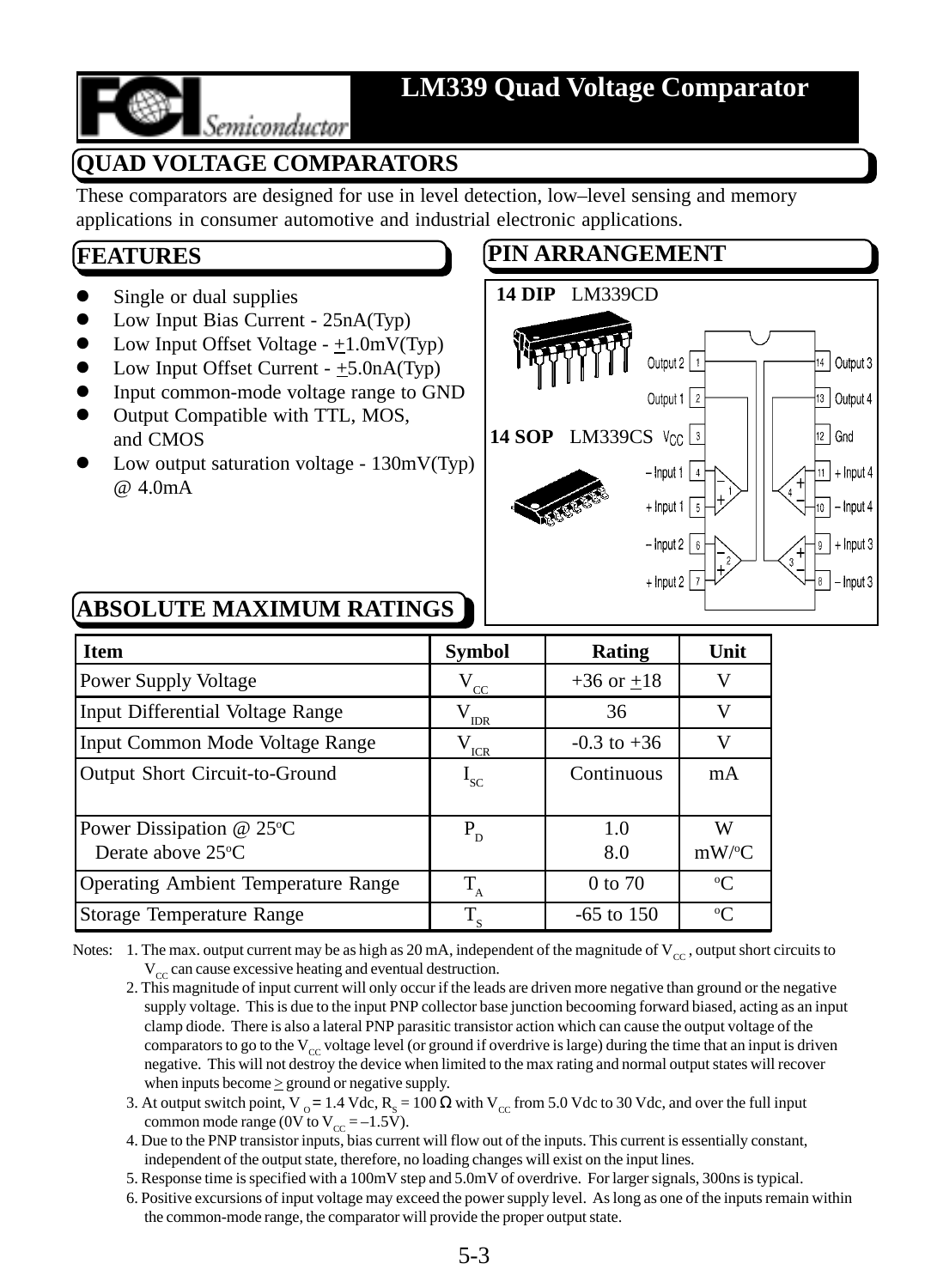

## **LM339 Quad Voltage Comparator**

# Semiconductor

**QUAD VOLTAGE COMPARATORS**

These comparators are designed for use in level detection, low–level sensing and memory applications in consumer automotive and industrial electronic applications.

## **FEATURES**

- Single or dual supplies
- Low Input Bias Current 25nA(Typ)
- Low Input Offset Voltage  $-+1.0$ mV(Typ)
- Low Input Offset Current  $+5.0nA(Typ)$
- Input common-mode voltage range to GND
- Output Compatible with TTL, MOS, and CMOS
- Low output saturation voltage  $130mV(Typ)$ @ 4.0mA

## **PIN ARRANGEMENT**



## **ABSOLUTE MAXIMUM RATINGS**

| <b>Item</b>                                         | <b>Symbol</b>                    | Rating          | Unit          |
|-----------------------------------------------------|----------------------------------|-----------------|---------------|
| Power Supply Voltage                                | $V_{\underline{c}\underline{c}}$ | $+36$ or $+18$  | v             |
| Input Differential Voltage Range                    | $\rm V_{_{IDR}}$                 | 36              | V             |
| Input Common Mode Voltage Range                     | $V_{ICR}$                        | $-0.3$ to $+36$ | V             |
| Output Short Circuit-to-Ground                      | $I_{SC}$                         | Continuous      | mA            |
| Power Dissipation $@$ 25 $°C$<br>Derate above 25 °C | $P_{D}$                          | 1.0<br>8.0      | W<br>$mW$ /°C |
| Operating Ambient Temperature Range                 | T                                | $0$ to $70$     | $\rm ^{o}C$   |
| Storage Temperature Range                           | $T_{\rm s}$                      | $-65$ to 150    | $\rm ^{o}C$   |

Notes: 1. The max. output current may be as high as 20 mA, independent of the magnitude of  $V_{cc}$ , output short circuits to  $V_{cc}$  can cause excessive heating and eventual destruction.

- 2. This magnitude of input current will only occur if the leads are driven more negative than ground or the negative supply voltage. This is due to the input PNP collector base junction becooming forward biased, acting as an input clamp diode. There is also a lateral PNP parasitic transistor action which can cause the output voltage of the comparators to go to the  $V_{cc}$  voltage level (or ground if overdrive is large) during the time that an input is driven negative. This will not destroy the device when limited to the max rating and normal output states will recover when inputs become  $\geq$  ground or negative supply.
- 3. At output switch point, V<sub>0</sub> = 1.4 Vdc, R<sub>s</sub> = 100  $\Omega$  with V<sub>cc</sub> from 5.0 Vdc to 30 Vdc, and over the full input common mode range (0V to  $V_{cc} = -1.5V$ ).
- 4. Due to the PNP transistor inputs, bias current will flow out of the inputs. This current is essentially constant, independent of the output state, therefore, no loading changes will exist on the input lines.
- 5. Response time is specified with a 100mV step and 5.0mV of overdrive. For larger signals, 300ns is typical.
- 6. Positive excursions of input voltage may exceed the power supply level. As long as one of the inputs remain within the common-mode range, the comparator will provide the proper output state.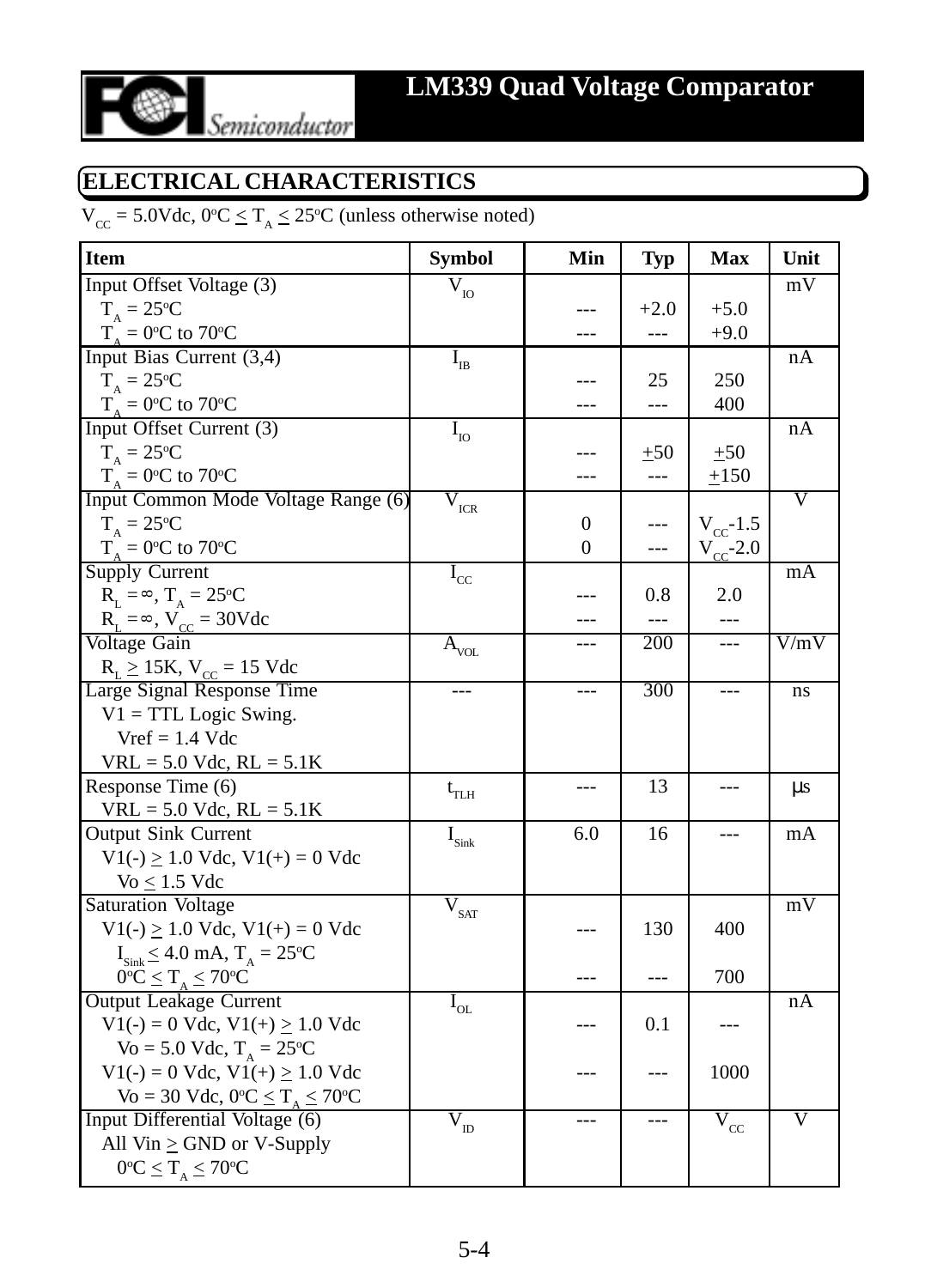

## **ELECTRICAL CHARACTERISTICS**

 $V_{\text{CC}} = 5.0 \text{Vdc}, 0^{\circ}\text{C} \le T_A \le 25^{\circ}\text{C}$  (unless otherwise noted)

| <b>Item</b>                                                 | <b>Symbol</b>                             | Min      | <b>Typ</b> | <b>Max</b>                            | Unit               |
|-------------------------------------------------------------|-------------------------------------------|----------|------------|---------------------------------------|--------------------|
| Input Offset Voltage (3)                                    | $\bar{\text{V}}_{\text{IO}}$              |          |            |                                       | $\rm mV$           |
| $T_{A} = 25^{\circ}C$                                       |                                           |          | $+2.0$     | $+5.0$                                |                    |
| $T_A = 0$ °C to 70°C                                        |                                           |          | ---        | $+9.0$                                |                    |
| Input Bias Current (3,4)                                    | $\rm I_{\rm IB}$                          |          |            |                                       | nA                 |
| $T_A = 25$ °C                                               |                                           |          | 25         | 250                                   |                    |
| $T_A = 0$ °C to 70°C                                        |                                           |          | ---        | 400                                   |                    |
| Input Offset Current (3)                                    | $I_{IO}$                                  |          |            |                                       | nA                 |
| $T_{A} = 25^{\circ}C$                                       |                                           |          | ±50        | ±50                                   |                    |
| $T_{A} = 0$ °C to 70°C                                      |                                           | ---      | $ -$       | $\pm 150$                             |                    |
| Input Common Mode Voltage Range (6)                         | V<br>$\ensuremath{\textup{\textbf{ICR}}}$ |          |            |                                       | $\overline{\rm v}$ |
| $T_A = 25$ °C                                               |                                           | 0        |            | $V_{\rm cc}$ -1.5                     |                    |
| $T_A = 0$ °C to 70°C                                        |                                           | $\theta$ | ---        | $V_{\rm cc}$ -2.0                     |                    |
| <b>Supply Current</b>                                       | $I_{\rm cc}$                              |          |            |                                       | mA                 |
| $R_L = \infty$ , $T_A = 25$ °C                              |                                           |          | $0.8\,$    | 2.0                                   |                    |
| $R_L = \infty$ , $V_{CC} = 30$ Vdc                          |                                           |          |            | ---                                   |                    |
| Voltage Gain                                                | $\overline{\mathbf{A}}_{\text{vol.}}$     | ---      | 200        | $\overline{a}$                        | V/mV               |
| $R_L \ge 15K$ , $V_{CC} = 15$ Vdc                           |                                           |          |            |                                       |                    |
| Large Signal Response Time                                  | ---                                       | ---      | 300        | ---                                   | ns                 |
| $V1 = TTL Logic Swing$ .                                    |                                           |          |            |                                       |                    |
| $Vref = 1.4$ Vdc                                            |                                           |          |            |                                       |                    |
| $VRL = 5.0$ Vdc, $RL = 5.1$ K                               |                                           |          |            |                                       |                    |
| Response Time (6)                                           | $\rm t_{TLH}$                             |          | 13         | ---                                   | μs                 |
| $VRL = 5.0$ Vdc, $RL = 5.1$ K                               |                                           |          |            |                                       |                    |
| <b>Output Sink Current</b>                                  | $\mathbf{I}_{\text{Sink}}$                | 6.0      | 16         |                                       | mA                 |
| $V1(-) \ge 1.0$ Vdc, $V1(+) = 0$ Vdc                        |                                           |          |            |                                       |                    |
| $\text{Vo} \leq 1.5 \text{ Vdc}$                            |                                           |          |            |                                       |                    |
| <b>Saturation Voltage</b>                                   | $\overline{\mathbf{V}}_{\text{SAT}}$      |          |            |                                       | mV                 |
| $V1(-) \ge 1.0$ Vdc, $V1(+) = 0$ Vdc                        |                                           |          | 130        | 400                                   |                    |
| $I_{\text{Sink}} \leq 4.0 \text{ mA}, T_{A} = 25 \text{°C}$ |                                           |          |            |                                       |                    |
| $0^{\circ}C \leq T_{A} \leq 70^{\circ}C$                    |                                           |          |            | 700                                   |                    |
| <b>Output Leakage Current</b>                               | $\rm I_{\rm OL}$                          |          |            |                                       | nA                 |
| $V1(-) = 0$ Vdc, $V1(+) \ge 1.0$ Vdc                        |                                           |          | 0.1        | ---                                   |                    |
| Vo = 5.0 Vdc, $T_A = 25$ °C                                 |                                           |          |            |                                       |                    |
| $V1(-) = 0$ Vdc, $V1(+) \ge 1.0$ Vdc                        |                                           |          | $---$      | 1000                                  |                    |
| Vo = 30 Vdc, $0^{\circ}C \leq T_{A} \leq 70^{\circ}C$       |                                           |          |            |                                       |                    |
| Input Differential Voltage (6)                              | $\overline{\mathrm{V}}_{\mathrm{ID}}$     | $---$    | ---        | $\overline{\mathrm{V}}_{\mathrm{cc}}$ | V                  |
| All $\text{ Vin} \geq \text{GND}$ or V-Supply               |                                           |          |            |                                       |                    |
| $0^{\circ}C \leq T_{A} \leq 70^{\circ}C$                    |                                           |          |            |                                       |                    |
|                                                             |                                           |          |            |                                       |                    |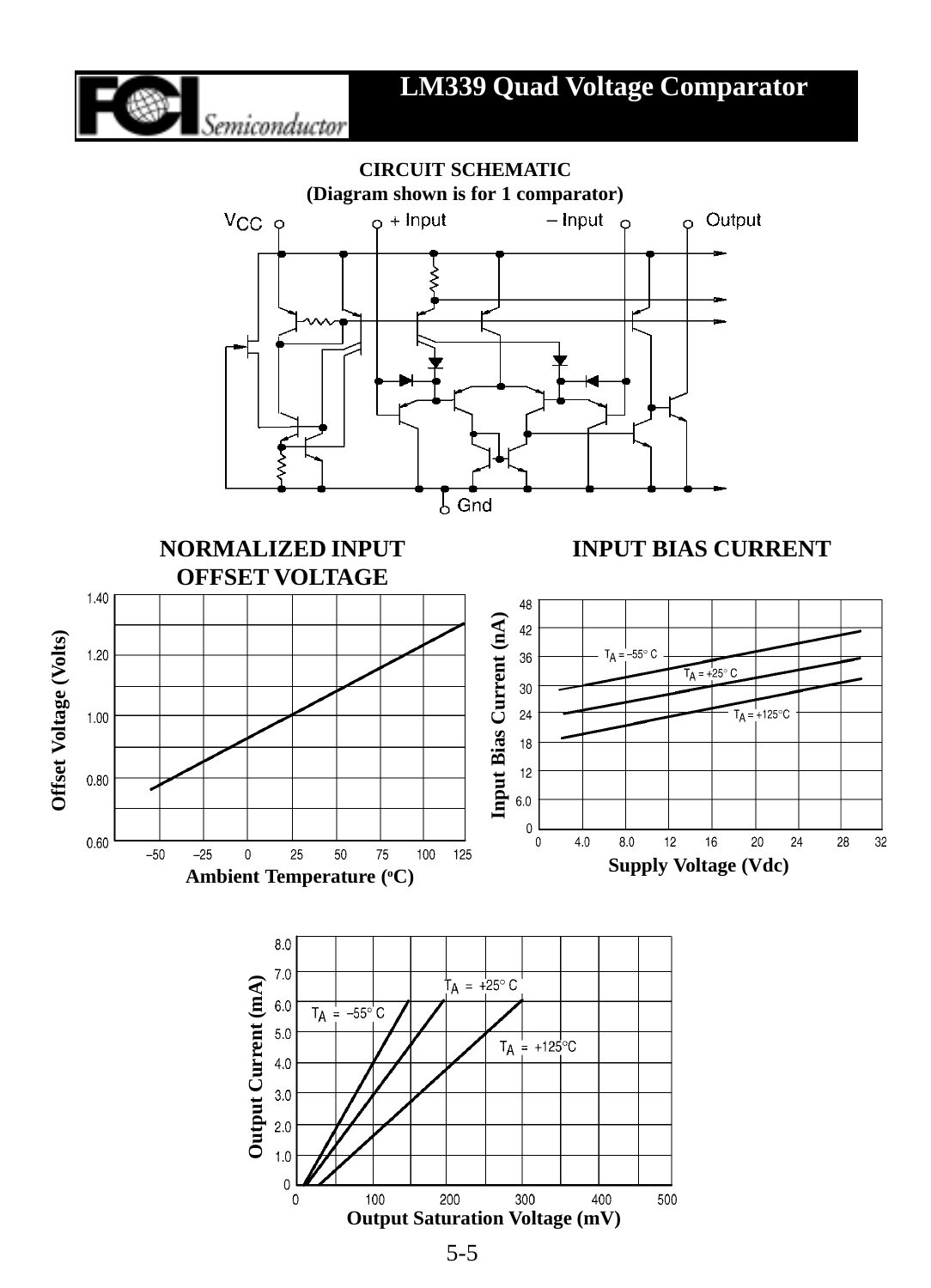



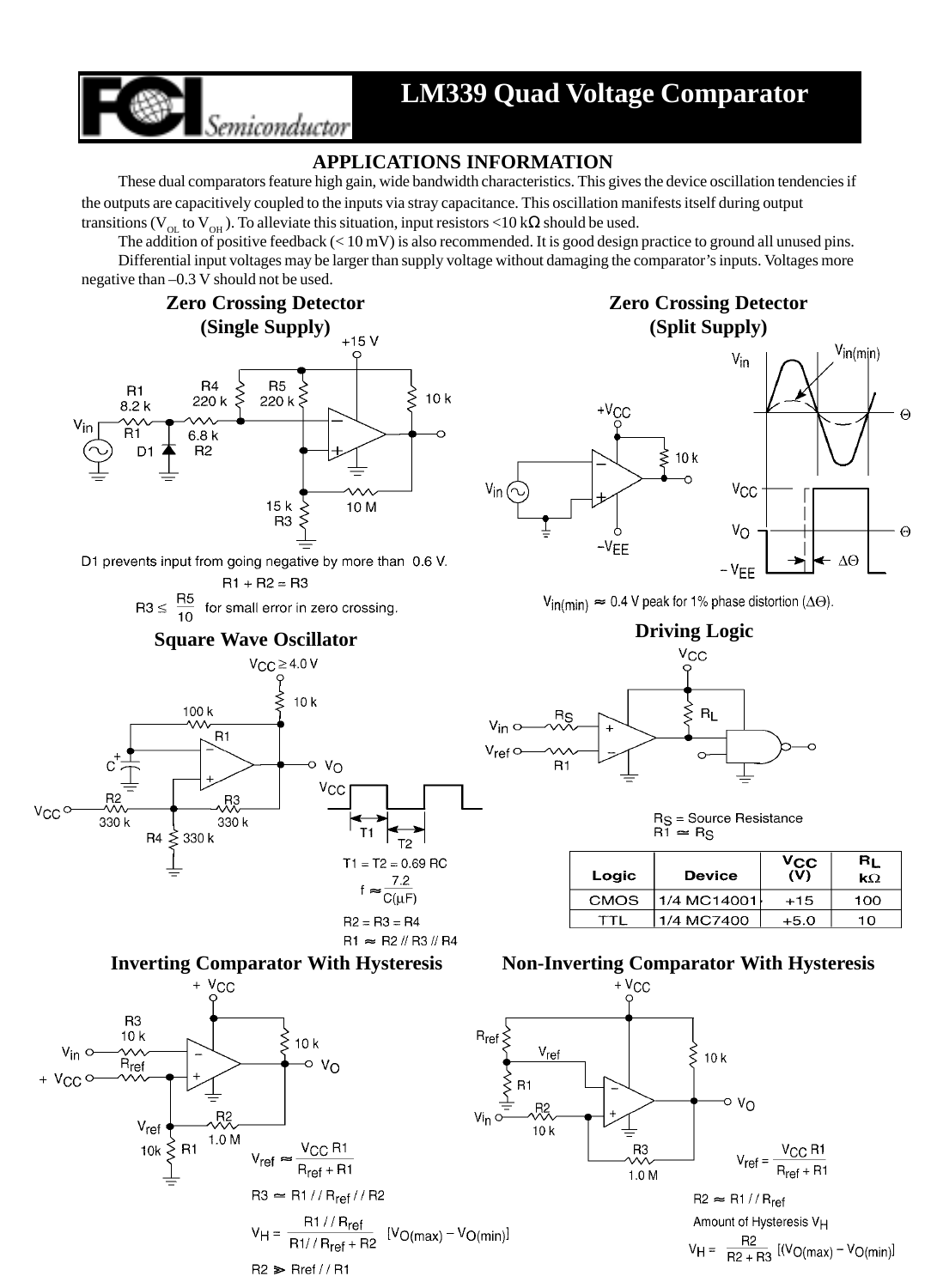

### **APPLICATIONS INFORMATION**

These dual comparators feature high gain, wide bandwidth characteristics. This gives the device oscillation tendencies if the outputs are capacitively coupled to the inputs via stray capacitance. This oscillation manifests itself during output transitions (V<sub>OL</sub> to V<sub>OH</sub>). To alleviate this situation, input resistors <10 kΩ should be used.

The addition of positive feedback (< 10 mV) is also recommended. It is good design practice to ground all unused pins.

Differential input voltages may be larger than supply voltage without damaging the comparator's inputs. Voltages more negative than –0.3 V should not be used.



Semiconductor

D1 prevents input from going negative by more than 0.6 V.

 $R1 + R2 = R3$  $R3 \leq \frac{R5}{10}$  for small error in zero crossing.

# **Square Wave Oscillator Driving Logic <b>Driving Logic**









### **Zero Crossing Detector (Split Supply)**



 $V_{in(min)} \approx 0.4$  V peak for 1% phase distortion ( $\Delta\Theta$ ).



R<sub>S</sub> = Source Resistance  $R\bar{1} \approx R_S$ 

| Logic | Device      | $v_{\mathbf{C} \mathbf{C}}$<br>(V) | ΒĻ<br>$k\Omega$ |  |
|-------|-------------|------------------------------------|-----------------|--|
| CMOS  | 1/4 MC14001 | $+15$                              | 100             |  |
|       | 1/4 MC7400  | $+5.0$                             | 10              |  |